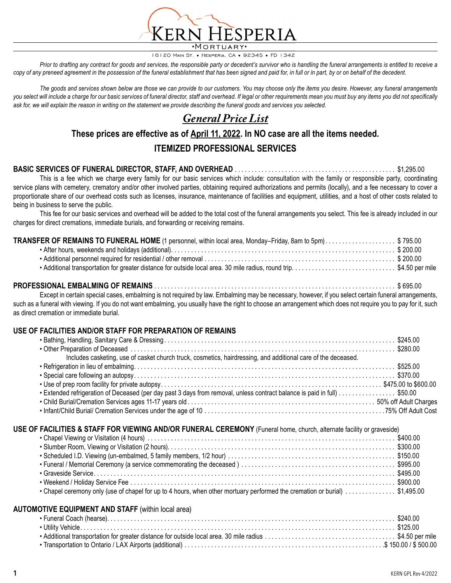PERIA

16120 MAIN ST. • HESPERIA, CA • 92345 • FD 1342

*Prior to drafting any contract for goods and services, the responsible party or decedent's survivor who is handling the funeral arrangements is entitled to receive a copy of any preneed agreement in the possession of the funeral establishment that has been signed and paid for, in full or in part, by or on behalf of the decedent.*

*The goods and services shown below are those we can provide to our customers. You may choose only the items you desire. However, any funeral arrangements*  you select will include a charge for our basic services of funeral director, staff and overhead. If legal or other requirements mean you must buy any items you did not specifically *ask for, we will explain the reason in writing on the statement we provide describing the funeral goods and services you selected.*

# *General Price List*

# **These prices are effective as of April 11, 2022. In NO case are all the items needed. ITEMIZED PROFESSIONAL SERVICES**

### **BASIC SERVICES OF FUNERAL DIRECTOR, STAFF, AND OVERHEAD** . . . . . . . . . . . . . . . . . . . . . . . . . . . . . . . . . . . . . . . . . . . . . . . . \$1,295.00

This is a fee which we charge every family for our basic services which include: consultation with the family or responsible party, coordinating service plans with cemetery, crematory and/or other involved parties, obtaining required authorizations and permits (locally), and a fee necessary to cover a proportionate share of our overhead costs such as licenses, insurance, maintenance of facilities and equipment, utilities, and a host of other costs related to being in business to serve the public.

This fee for our basic services and overhead will be added to the total cost of the funeral arrangements you select. This fee is already included in our charges for direct cremations, immediate burials, and forwarding or receiving remains.

| TRANSFER OF REMAINS TO FUNERAL HOME (1 personnel, within local area, Monday–Friday, 8am to 5pm)\$795.00 |  |
|---------------------------------------------------------------------------------------------------------|--|
|                                                                                                         |  |
|                                                                                                         |  |
|                                                                                                         |  |

#### **PROFESSIONAL EMBALMING OF REMAINS** . . . . . . . . . . . . . . . . . . . . . . . . . . . . . . . . . . . . . . . . . . . . . . . . . . . . . . . . . . . . . . . . . . . . . . . . \$ 695.00

Except in certain special cases, embalming is not required by law. Embalming may be necessary, however, if you select certain funeral arrangements, such as a funeral with viewing. If you do not want embalming, you usually have the right to choose an arrangement which does not require you to pay for it, such as direct cremation or immediate burial.

### **USE OF FACILITIES AND/OR STAFF FOR PREPARATION OF REMAINS**

| Includes casketing, use of casket church truck, cosmetics, hairdressing, and additional care of the deceased.              |  |
|----------------------------------------------------------------------------------------------------------------------------|--|
|                                                                                                                            |  |
|                                                                                                                            |  |
|                                                                                                                            |  |
| • Extended refrigeration of Deceased (per day past 3 days from removal, unless contract balance is paid in full) \$50.00   |  |
|                                                                                                                            |  |
|                                                                                                                            |  |
|                                                                                                                            |  |
|                                                                                                                            |  |
| • Chapel ceremony only (use of chapel for up to 4 hours, when other mortuary performed the cremation or burial) \$1,495.00 |  |
| <b>AUTOMOTIVE EQUIPMENT AND STAFF (within local area)</b>                                                                  |  |
|                                                                                                                            |  |
|                                                                                                                            |  |

• Additional transportation for greater distance for outside local area. 30 mile radius . . . . . . . . . . . . . . . . . . . . . . . . . . . . . . . . . . . . . . . \$4.50 per mile • Transportation to Ontario / LAX Airports (additional) . . . . . . . . . . . . . . . . . . . . . . . . . . . . . . . . . . . . . . . . . . . . . . . . . . . . . . . . . . . \$ 150.00 / \$ 500.00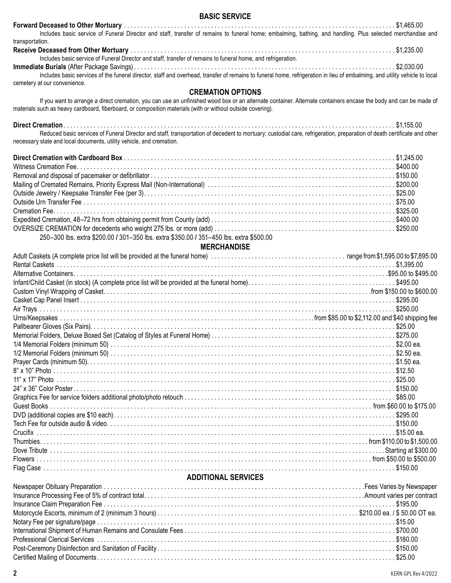### **BASIC SERVICE**

| Includes basic service of Funeral Director and staff, transfer of remains to funeral home; embalming, bathing, and handling. Plus selected merchandise and                 |  |
|----------------------------------------------------------------------------------------------------------------------------------------------------------------------------|--|
| transportation.                                                                                                                                                            |  |
|                                                                                                                                                                            |  |
| Includes basic service of Funeral Director and staff, transfer of remains to funeral home, and refrigeration.                                                              |  |
|                                                                                                                                                                            |  |
| Includes basic services of the funeral director, staff and overhead, transfer of remains to funeral home, refrigeration in lieu of embalming, and utility vehicle to local |  |

cemetery at our convenience.

#### **CREMATION OPTIONS**

 If you want to arrange a direct cremation, you can use an unfinished wood box or an alternate container. Alternate containers encase the body and can be made of materials such as heavy cardboard, fiberboard, or composition materials (with or without outside covering).

**Direct Cremation** . . . . . . . . . . . . . . . . . . . . . . . . . . . . . . . . . . . . . . . . . . . . . . . . . . . . . . . . . . . . . . . . . . . . . . . . . . . . . . . . . . . . . . . . . . . . . . . . . . . \$1,155.00 Reduced basic services of Funeral Director and staff, transportation of decedent to mortuary; custodial care, refrigeration, preparation of death certificate and other necessary state and local documents, utility vehicle, and cremation.

| 250-300 lbs. extra \$200.00 / 301-350 lbs. extra \$350.00 / 351-450 lbs. extra \$500.00 |  |
|-----------------------------------------------------------------------------------------|--|

#### **MERCHANDISE**

#### **ADDITIONAL SERVICES**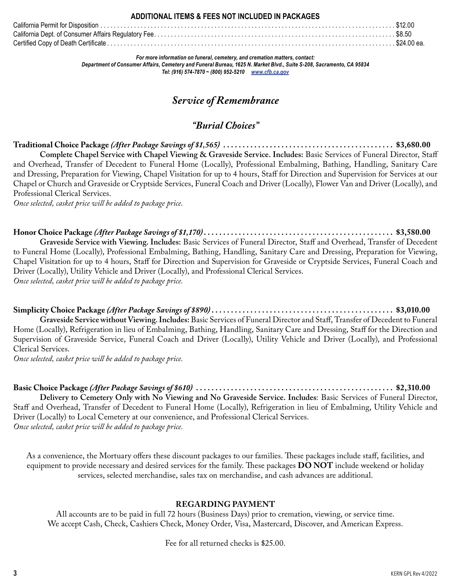#### **ADDITIONAL ITEMS & FEES NOT INCLUDED IN PACKAGES**

| California Dept. of Consumer Affairs Regulatory Fee…………………………………………………………………………… \$8.50 |  |
|-----------------------------------------------------------------------------------------|--|
|                                                                                         |  |

*For more information on funeral, cemetery, and cremation matters, contact: Department of Consumer Affairs, Cemetery and Funeral Bureau, 1625 N. Market Blvd., Suite S-208, Sacramento, CA 95834 Tel: (916) 574-7870 ~ (800) 952-5210 www.cfb.ca.gov*

## *Service of Remembrance*

## *"Burial Choices"*

**Traditional Choice Package** *(After Package Savings of \$1,565)* **. . . . . . . . . . . . . . . . . . . . . . . . . . . . . . . . . . . . . . . . . . . . \$3,680.00 Complete Chapel Service with Chapel Viewing & Graveside Service. Includes:** Basic Services of Funeral Director, Staff and Overhead, Transfer of Decedent to Funeral Home (Locally), Professional Embalming, Bathing, Handling, Sanitary Care and Dressing, Preparation for Viewing, Chapel Visitation for up to 4 hours, Staff for Direction and Supervision for Services at our Chapel or Church and Graveside or Cryptside Services, Funeral Coach and Driver (Locally), Flower Van and Driver (Locally), and Professional Clerical Services.

*Once selected, casket price will be added to package price.*

**Honor Choice Package** *(After Package Savings of \$1,170)* **. . . . . . . . . . . . . . . . . . . . . . . . . . . . . . . . . . . . . . . . . . . . . . . . . \$3,580.00**

**Graveside Service with Viewing. Includes:** Basic Services of Funeral Director, Staff and Overhead, Transfer of Decedent to Funeral Home (Locally), Professional Embalming, Bathing, Handling, Sanitary Care and Dressing, Preparation for Viewing, Chapel Visitation for up to 4 hours, Staff for Direction and Supervision for Graveside or Cryptside Services, Funeral Coach and Driver (Locally), Utility Vehicle and Driver (Locally), and Professional Clerical Services. *Once selected, casket price will be added to package price.*

**Simplicity Choice Package** *(After Package Savings of \$890)* **. . . . . . . . . . . . . . . . . . . . . . . . . . . . . . . . . . . . . . . . . . . . . . . \$3,010.00**

**Graveside Service without Viewing. Includes:** Basic Services of Funeral Director and Staff, Transfer of Decedent to Funeral Home (Locally), Refrigeration in lieu of Embalming, Bathing, Handling, Sanitary Care and Dressing, Staff for the Direction and Supervision of Graveside Service, Funeral Coach and Driver (Locally), Utility Vehicle and Driver (Locally), and Professional Clerical Services.

*Once selected, casket price will be added to package price.*

**Basic Choice Package** *(After Package Savings of \$610)* **. . . . . . . . . . . . . . . . . . . . . . . . . . . . . . . . . . . . . . . . . . . . . . . . . . . \$2,310.00 Delivery to Cemetery Only with No Viewing and No Graveside Service. Includes**: Basic Services of Funeral Director, Staff and Overhead, Transfer of Decedent to Funeral Home (Locally), Refrigeration in lieu of Embalming, Utility Vehicle and Driver (Locally) to Local Cemetery at our convenience, and Professional Clerical Services. *Once selected, casket price will be added to package price.*

As a convenience, the Mortuary offers these discount packages to our families. These packages include staff, facilities, and equipment to provide necessary and desired services for the family. These packages **DO NOT** include weekend or holiday services, selected merchandise, sales tax on merchandise, and cash advances are additional.

## **REGARDING PAYMENT**

All accounts are to be paid in full 72 hours (Business Days) prior to cremation, viewing, or service time. We accept Cash, Check, Cashiers Check, Money Order, Visa, Mastercard, Discover, and American Express.

Fee for all returned checks is \$25.00.